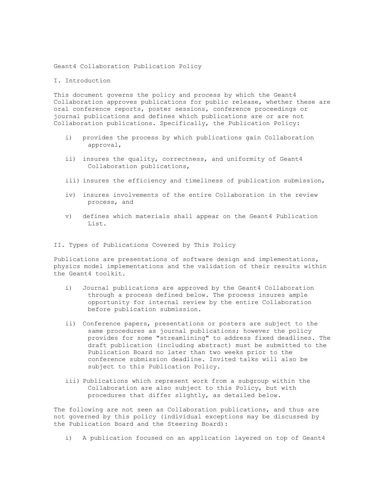## Geant4 Collaboration Publication Policy

## I. Introduction

This document governs the policy and process by which the Geant4 Collaboration approves publications for public release, whether these are oral conference reports, poster sessions, conference proceedings or journal publications and defines which publications are or are not Collaboration publications. Specifically, the Publication Policy:

- i) provides the process by which publications gain Collaboration approval,
- ii) insures the quality, correctness, and uniformity of Geant4 Collaboration publications,
- iii) insures the efficiency and timeliness of publication submission,
- iv) insures involvements of the entire Collaboration in the review process, and
- v) defines which materials shall appear on the Geant4 Publication List.

## II. Types of Publications Covered by This Policy

Publications are presentations of software design and implementations, physics model implementations and the validation of their results within the Geant4 toolkit.

- i) Journal publications are approved by the Geant4 Collaboration through a process defined below. The process insures ample opportunity for internal review by the entire Collaboration before publication submission.
- ii) Conference papers, presentations or posters are subject to the same procedures as journal publications; however the policy provides for some "streamlining" to address fixed deadlines. The draft publication (including abstract) must be submitted to the Publication Board no later than two weeks prior to the conference submission deadline. Invited talks will also be subject to this Publication Policy.
- iii) Publications which represent work from a subgroup within the Collaboration are also subject to this Policy, but with procedures that differ slightly, as detailed below.

The following are not seen as Collaboration publications, and thus are not governed by this policy (individual exceptions may be discussed by the Publication Board and the Steering Board):

i) A publication focused on an application layered on top of Geant4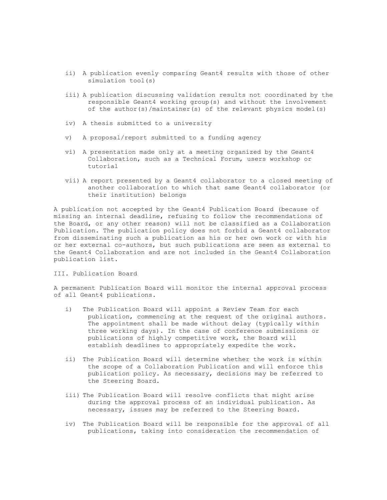- ii) A publication evenly comparing Geant4 results with those of other simulation tool(s)
- iii) A publication discussing validation results not coordinated by the responsible Geant4 working group(s) and without the involvement of the author(s)/maintainer(s) of the relevant physics model(s)
- iv) A thesis submitted to a university
- v) A proposal/report submitted to a funding agency
- vi) A presentation made only at a meeting organized by the Geant4 Collaboration, such as a Technical Forum, users workshop or tutorial
- vii) A report presented by a Geant4 collaborator to a closed meeting of another collaboration to which that same Geant4 collaborator (or their institution) belongs

A publication not accepted by the Geant4 Publication Board (because of missing an internal deadline, refusing to follow the recommendations of the Board, or any other reason) will not be classified as a Collaboration Publication. The publication policy does not forbid a Geant4 collaborator from disseminating such a publication as his or her own work or with his or her external co-authors, but such publications are seen as external to the Geant4 Collaboration and are not included in the Geant4 Collaboration publication list.

III. Publication Board

A permanent Publication Board will monitor the internal approval process of all Geant4 publications.

- i) The Publication Board will appoint a Review Team for each publication, commencing at the request of the original authors. The appointment shall be made without delay (typically within three working days). In the case of conference submissions or publications of highly competitive work, the Board will establish deadlines to appropriately expedite the work.
- ii) The Publication Board will determine whether the work is within the scope of a Collaboration Publication and will enforce this publication policy. As necessary, decisions may be referred to the Steering Board.
- iii) The Publication Board will resolve conflicts that might arise during the approval process of an individual publication. As necessary, issues may be referred to the Steering Board.
- iv) The Publication Board will be responsible for the approval of all publications, taking into consideration the recommendation of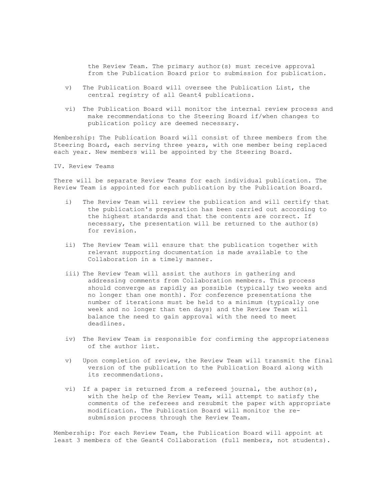the Review Team. The primary author(s) must receive approval from the Publication Board prior to submission for publication.

- v) The Publication Board will oversee the Publication List, the central registry of all Geant4 publications.
- vi) The Publication Board will monitor the internal review process and make recommendations to the Steering Board if/when changes to publication policy are deemed necessary.

Membership: The Publication Board will consist of three members from the Steering Board, each serving three years, with one member being replaced each year. New members will be appointed by the Steering Board.

IV. Review Teams

There will be separate Review Teams for each individual publication. The Review Team is appointed for each publication by the Publication Board.

- i) The Review Team will review the publication and will certify that the publication's preparation has been carried out according to the highest standards and that the contents are correct. If necessary, the presentation will be returned to the author(s) for revision.
- ii) The Review Team will ensure that the publication together with relevant supporting documentation is made available to the Collaboration in a timely manner.
- iii) The Review Team will assist the authors in gathering and addressing comments from Collaboration members. This process should converge as rapidly as possible (typically two weeks and no longer than one month). For conference presentations the number of iterations must be held to a minimum (typically one week and no longer than ten days) and the Review Team will balance the need to gain approval with the need to meet deadlines.
- iv) The Review Team is responsible for confirming the appropriateness of the author list.
- v) Upon completion of review, the Review Team will transmit the final version of the publication to the Publication Board along with its recommendations.
- vi) If a paper is returned from a refereed journal, the author(s), with the help of the Review Team, will attempt to satisfy the comments of the referees and resubmit the paper with appropriate modification. The Publication Board will monitor the resubmission process through the Review Team.

Membership: For each Review Team, the Publication Board will appoint at least 3 members of the Geant4 Collaboration (full members, not students).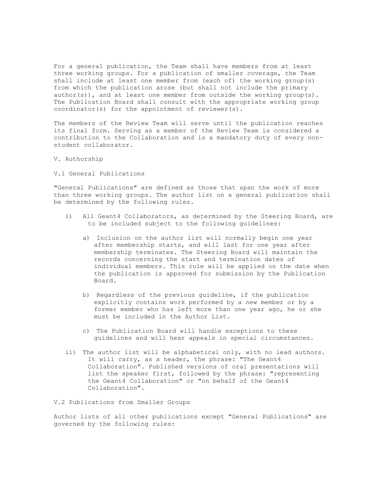For a general publication, the Team shall have members from at least three working groups. For a publication of smaller coverage, the Team shall include at least one member from (each of) the working group(s) from which the publication arose (but shall not include the primary author(s)), and at least one member from outside the working group(s). The Publication Board shall consult with the appropriate working group coordinator(s) for the appointment of reviewer(s).

The members of the Review Team will serve until the publication reaches its final form. Serving as a member of the Review Team is considered a contribution to the Collaboration and is a mandatory duty of every nonstudent collaborator.

V. Authorship

V.1 General Publications

"General Publications" are defined as those that span the work of more than three working groups. The author list on a general publication shall be determined by the following rules.

- i) All Geant4 Collaborators, as determined by the Steering Board, are to be included subject to the following guidelines:
	- a) Inclusion on the author list will normally begin one year after membership starts, and will last for one year after membership terminates. The Steering Board will maintain the records concerning the start and termination dates of individual members. This rule will be applied on the date when the publication is approved for submission by the Publication Board.
	- b) Regardless of the previous guideline, if the publication explicitly contains work performed by a new member or by a former member who has left more than one year ago, he or she must be included in the Author List.
	- c) The Publication Board will handle exceptions to these guidelines and will hear appeals in special circumstances.
- ii) The author list will be alphabetical only, with no lead authors. It will carry, as a header, the phrase: "The Geant4 Collaboration". Published versions of oral presentations will list the speaker first, followed by the phrase: "representing the Geant4 Collaboration" or "on behalf of the Geant4 Collaboration".

V.2 Publications from Smaller Groups

Author lists of all other publications except "General Publications" are governed by the following rules: